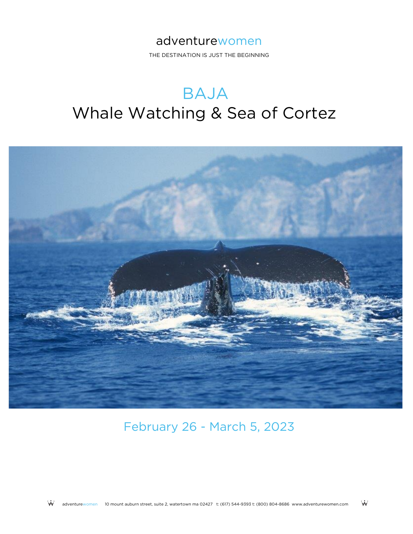### adventurewomen

THE DESTINATION IS JUST THE BEGINNING

## BAJA Whale Watching & Sea of Cortez



February 26 - March 5, 2023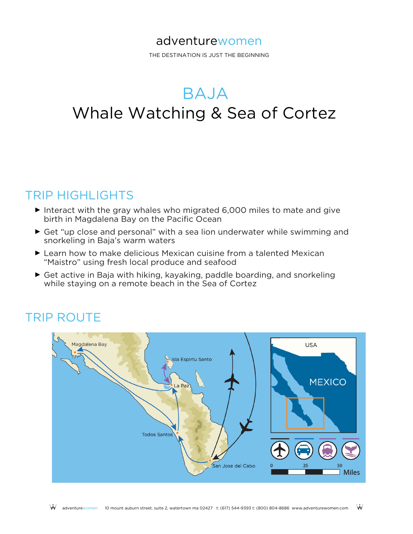### adventurewomen

THE DESTINATION IS JUST THE BEGINNING

# BAJA

## Whale Watching & Sea of Cortez

### TRIP HIGHLIGHTS

- ► Interact with the gray whales who migrated 6,000 miles to mate and give birth in Magdalena Bay on the Pacific Ocean
- ► Get "up close and personal" with a sea lion underwater while swimming and snorkeling in Baja's warm waters
- ► Learn how to make delicious Mexican cuisine from a talented Mexican "Maistro" using fresh local produce and seafood
- ► Get active in Baja with hiking, kayaking, paddle boarding, and snorkeling while staying on a remote beach in the Sea of Cortez

## TRIP ROUTE

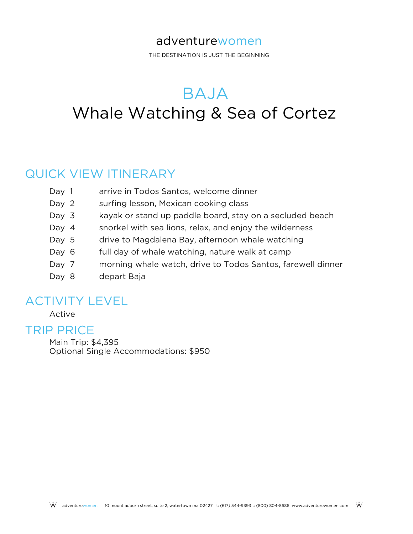### adventurewomen

THE DESTINATION IS JUST THE BEGINNING

## BAJA Whale Watching & Sea of Cortez

### QUICK VIEW ITINERARY

- Day 1 arrive in Todos Santos, welcome dinner
- Day 2 surfing lesson, Mexican cooking class
- Day 3 kayak or stand up paddle board, stay on a secluded beach
- Day 4 snorkel with sea lions, relax, and enjoy the wilderness
- Day 5 drive to Magdalena Bay, afternoon whale watching
- Day 6 full day of whale watching, nature walk at camp
- Day 7 morning whale watch, drive to Todos Santos, farewell dinner
- Day 8 depart Baja

### ACTIVITY LEVEL

Active

### TRIP PRICE

Main Trip: \$4,395 Optional Single Accommodations: \$950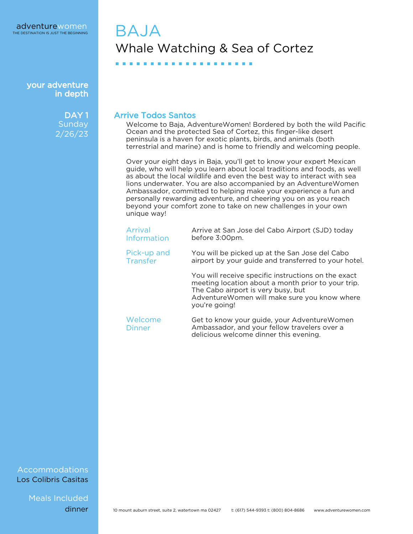> DAY<sub>1</sub> **Sunday** 2/26/23

## BAJA Whale Watching & Sea of Cortez

■ ■ ■ ■ ■ ■ ■ ■ ■ ■ ■ ■ ■ ■ ■ ■ ■ ■ ■ ■

### Arrive Todos Santos

Welcome to Baja, AdventureWomen! Bordered by both the wild Pacific Ocean and the protected Sea of Cortez, this finger-like desert peninsula is a haven for exotic plants, birds, and animals (both terrestrial and marine) and is home to friendly and welcoming people.

Over your eight days in Baja, you'll get to know your expert Mexican guide, who will help you learn about local traditions and foods, as well as about the local wildlife and even the best way to interact with sea lions underwater. You are also accompanied by an AdventureWomen Ambassador, committed to helping make your experience a fun and personally rewarding adventure, and cheering you on as you reach beyond your comfort zone to take on new challenges in your own unique way!

| Arrival     | Arrive at San Jose del Cabo Airport (SJD) today                                                                                                                                                                   |
|-------------|-------------------------------------------------------------------------------------------------------------------------------------------------------------------------------------------------------------------|
| Information | before 3:00pm.                                                                                                                                                                                                    |
| Pick-up and | You will be picked up at the San Jose del Cabo                                                                                                                                                                    |
| Transfer    | airport by your guide and transferred to your hotel.                                                                                                                                                              |
|             | You will receive specific instructions on the exact<br>meeting location about a month prior to your trip.<br>The Cabo airport is very busy, but<br>Adventure Women will make sure you know where<br>you're going! |
| Welcome     | Get to know your guide, your Adventure Women                                                                                                                                                                      |
| Dinner      | Ambassador, and your fellow travelers over a                                                                                                                                                                      |

delicious welcome dinner this evening.

Accommodations Los Colibris Casitas

Meals Included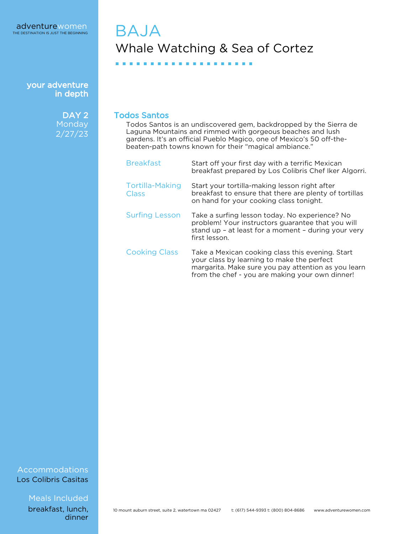> DAY<sub>2</sub> Monday 2/27/23

## BAJA Whale Watching & Sea of Cortez

■ ■ ■ ■ ■ ■ ■ ■ ■ ■ ■ ■ ■ ■ ■ ■ ■ ■ ■ ■

#### Todos Santos

Todos Santos is an undiscovered gem, backdropped by the Sierra de Laguna Mountains and rimmed with gorgeous beaches and lush gardens. It's an official Pueblo Magico, one of Mexico's 50 off-thebeaten-path towns known for their "magical ambiance."

| <b>Breakfast</b>                       | Start off your first day with a terrific Mexican<br>breakfast prepared by Los Colibris Chef Iker Algorri.                                                                                                |
|----------------------------------------|----------------------------------------------------------------------------------------------------------------------------------------------------------------------------------------------------------|
| <b>Tortilla-Making</b><br><b>Class</b> | Start your tortilla-making lesson right after<br>breakfast to ensure that there are plenty of tortillas<br>on hand for your cooking class tonight.                                                       |
| <b>Surfing Lesson</b>                  | Take a surfing lesson today. No experience? No<br>problem! Your instructors guarantee that you will<br>stand up - at least for a moment - during your very<br>first lesson.                              |
| <b>Cooking Class</b>                   | Take a Mexican cooking class this evening. Start<br>your class by learning to make the perfect<br>margarita. Make sure you pay attention as you learn<br>from the chef - you are making your own dinner! |

#### Accommodations Los Colibris Casitas

Meals Included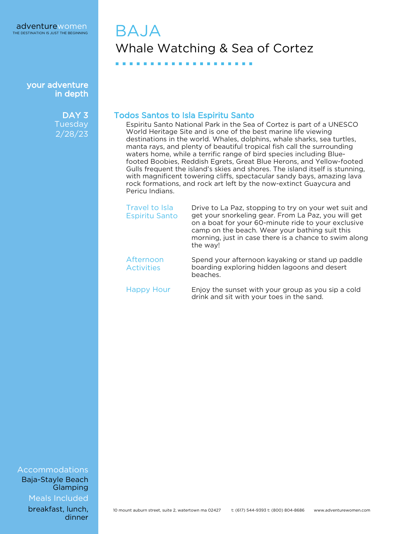> DAY<sub>3</sub> **Tuesday** 2/28/23

## BAJA Whale Watching & Sea of Cortez

### Todos Santos to Isla Espiritu Santo

■ ■ ■ ■ ■ ■ ■ ■ ■ ■ ■ ■ ■ ■ ■ ■ ■ ■ ■ ■

Espiritu Santo National Park in the Sea of Cortez is part of a UNESCO World Heritage Site and is one of the best marine life viewing destinations in the world. Whales, dolphins, whale sharks, sea turtles, manta rays, and plenty of beautiful tropical fish call the surrounding waters home, while a terrific range of bird species including Bluefooted Boobies, Reddish Egrets, Great Blue Herons, and Yellow-footed Gulls frequent the island's skies and shores. The island itself is stunning, with magnificent towering cliffs, spectacular sandy bays, amazing lava rock formations, and rock art left by the now-extinct Guaycura and Pericu Indians.

| Travel to Isla<br><b>Espiritu Santo</b> | Drive to La Paz, stopping to try on your wet suit and<br>get your snorkeling gear. From La Paz, you will get<br>on a boat for your 60-minute ride to your exclusive<br>camp on the beach. Wear your bathing suit this<br>morning, just in case there is a chance to swim along<br>the way! |
|-----------------------------------------|--------------------------------------------------------------------------------------------------------------------------------------------------------------------------------------------------------------------------------------------------------------------------------------------|
| Afternoon<br><b>Activities</b>          | Spend your afternoon kayaking or stand up paddle<br>boarding exploring hidden lagoons and desert<br>beaches.                                                                                                                                                                               |
| Happy Hour                              | Enjoy the sunset with your group as you sip a cold<br>drink and sit with your toes in the sand.                                                                                                                                                                                            |

#### Accommodations Baja-Stayle Beach

Meals Included **Glamping**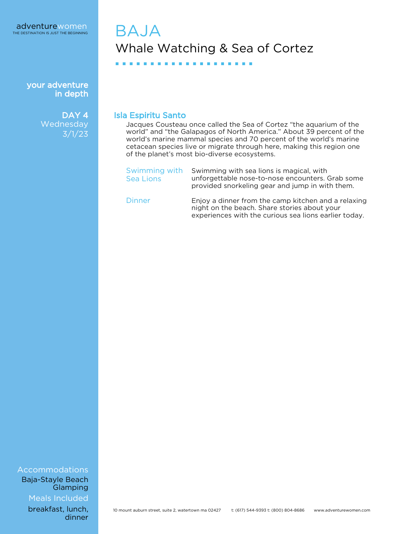> DAY<sub>4</sub> Wednesday 3/1/23

## BAJA Whale Watching & Sea of Cortez

■ ■ ■ ■ ■ ■ ■ ■ ■ ■ ■ ■ ■ ■ ■ ■ ■ ■ ■ ■

### Isla Espiritu Santo

Jacques Cousteau once called the Sea of Cortez "the aquarium of the world" and "the Galapagos of North America." About 39 percent of the world's marine mammal species and 70 percent of the world's marine cetacean species live or migrate through here, making this region one of the planet's most bio-diverse ecosystems.

| Swimming with<br>Sea Lions | Swimming with sea lions is magical, with<br>unforgettable nose-to-nose encounters. Grab some<br>provided snorkeling gear and jump in with them. |
|----------------------------|-------------------------------------------------------------------------------------------------------------------------------------------------|
| Dinner                     | Enjoy a dinner from the camp kitchen and a relaxing<br>night on the beach. Share stories about your                                             |

experiences with the curious sea lions earlier today.

Accommodations Baja-Stayle Beach Glamping

Meals Included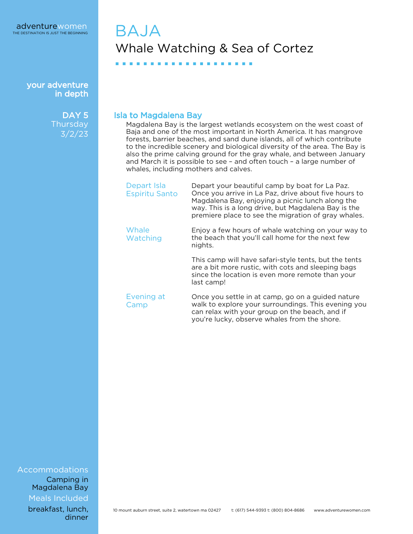> DAY<sub>5</sub> **Thursday** 3/2/23

## BAJA Whale Watching & Sea of Cortez

■ ■ ■ ■ ■ ■ ■ ■ ■ ■ ■ ■ ■ ■ ■ ■ ■ ■ ■ ■

### Isla to Magdalena Bay

Magdalena Bay is the largest wetlands ecosystem on the west coast of Baja and one of the most important in North America. It has mangrove forests, barrier beaches, and sand dune islands, all of which contribute to the incredible scenery and biological diversity of the area. The Bay is also the prime calving ground for the gray whale, and between January and March it is possible to see – and often touch – a large number of whales, including mothers and calves.

| Depart Isla<br><b>Espiritu Santo</b> | Depart your beautiful camp by boat for La Paz.<br>Once you arrive in La Paz, drive about five hours to<br>Magdalena Bay, enjoying a picnic lunch along the<br>way. This is a long drive, but Magdalena Bay is the<br>premiere place to see the migration of gray whales. |
|--------------------------------------|--------------------------------------------------------------------------------------------------------------------------------------------------------------------------------------------------------------------------------------------------------------------------|
| Whale<br>Watching                    | Enjoy a few hours of whale watching on your way to<br>the beach that you'll call home for the next few<br>nights.                                                                                                                                                        |
|                                      | This camp will have safari-style tents, but the tents<br>are a bit more rustic, with cots and sleeping bags<br>since the location is even more remote than your<br>last camp!                                                                                            |
| Evening at<br>Camp                   | Once you settle in at camp, go on a guided nature<br>walk to explore your surroundings. This evening you<br>can relax with your group on the beach, and if<br>you're lucky, observe whales from the shore.                                                               |

### Accommodations

Meals Included Camping in Magdalena Bay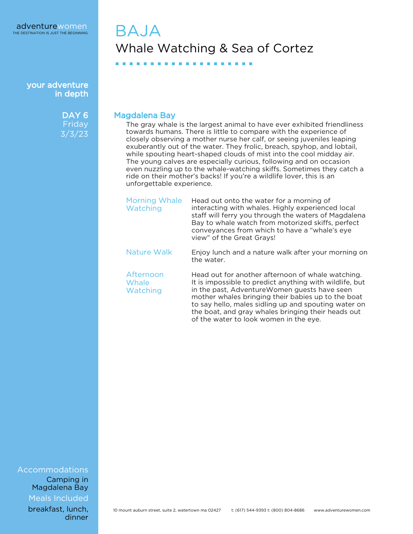> DAY<sub>6</sub> **Friday** 3/3/23

## BAJA Whale Watching & Sea of Cortez

■ ■ ■ ■ ■ ■ ■ ■ ■ ■ ■ ■ ■ ■ ■ ■ ■ ■ ■ ■

Magdalena Bay

The gray whale is the largest animal to have ever exhibited friendliness towards humans. There is little to compare with the experience of closely observing a mother nurse her calf, or seeing juveniles leaping exuberantly out of the water. They frolic, breach, spyhop, and lobtail, while spouting heart-shaped clouds of mist into the cool midday air. The young calves are especially curious, following and on occasion even nuzzling up to the whale-watching skiffs. Sometimes they catch a ride on their mother's backs! If you're a wildlife lover, this is an unforgettable experience.

| <b>Morning Whale</b><br>Watching | Head out onto the water for a morning of<br>interacting with whales. Highly experienced local<br>staff will ferry you through the waters of Magdalena<br>Bay to whale watch from motorized skiffs, perfect<br>conveyances from which to have a "whale's eye<br>view" of the Great Grays!                                                                                   |
|----------------------------------|----------------------------------------------------------------------------------------------------------------------------------------------------------------------------------------------------------------------------------------------------------------------------------------------------------------------------------------------------------------------------|
| Nature Walk                      | Enjoy lunch and a nature walk after your morning on<br>the water.                                                                                                                                                                                                                                                                                                          |
| Afternoon<br>Whale<br>Watching   | Head out for another afternoon of whale watching.<br>It is impossible to predict anything with wildlife, but<br>in the past, AdventureWomen guests have seen<br>mother whales bringing their babies up to the boat<br>to say hello, males sidling up and spouting water on<br>the boat, and gray whales bringing their heads out<br>of the water to look women in the eye. |

Accommodations

Meals Included Camping in Magdalena Bay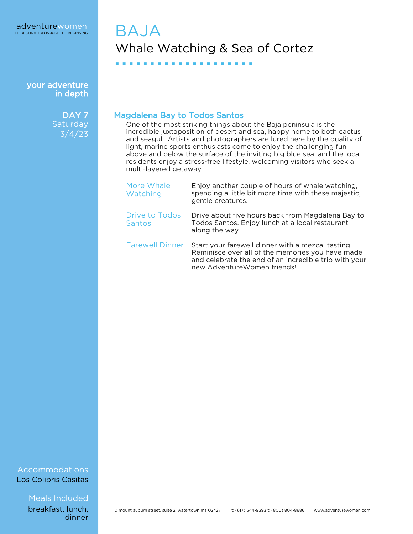> DAY<sub>7</sub> **Saturday** 3/4/23

## BAJA Whale Watching & Sea of Cortez

### Magdalena Bay to Todos Santos

■ ■ ■ ■ ■ ■ ■ ■ ■ ■ ■ ■ ■ ■ ■ ■ ■ ■ ■ ■

One of the most striking things about the Baja peninsula is the incredible juxtaposition of desert and sea, happy home to both cactus and seagull. Artists and photographers are lured here by the quality of light, marine sports enthusiasts come to enjoy the challenging fun above and below the surface of the inviting big blue sea, and the local residents enjoy a stress-free lifestyle, welcoming visitors who seek a multi-layered getaway.

| More Whale<br>Watching                 | Enjoy another couple of hours of whale watching,<br>spending a little bit more time with these majestic,<br>gentle creatures.                                                                 |
|----------------------------------------|-----------------------------------------------------------------------------------------------------------------------------------------------------------------------------------------------|
| <b>Drive to Todos</b><br><b>Santos</b> | Drive about five hours back from Magdalena Bay to<br>Todos Santos. Enjoy lunch at a local restaurant<br>along the way.                                                                        |
| <b>Farewell Dinner</b>                 | Start your farewell dinner with a mezcal tasting.<br>Reminisce over all of the memories you have made<br>and celebrate the end of an incredible trip with your<br>new AdventureWomen friends! |

#### Accommodations Los Colibris Casitas

Meals Included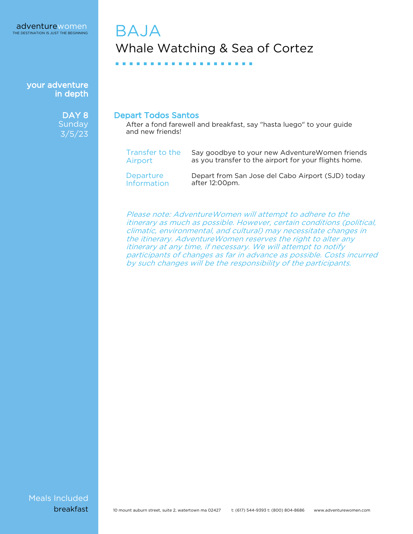> DAY<sub>8</sub> Sunday 3/5/23

## **BAJA** Whale Watching & Sea of Cortez

■ ■ ■ ■ ■ ■ ■ ■ ■ ■ ■ ■ ■ ■ ■ ■ ■ ■ ■ ■

#### Depart Todos Santos

After a fond farewell and breakfast, say "hasta luego" to your guide and new friends!

| Transfer to the    | Say goodbye to your new Adventure Women friends       |
|--------------------|-------------------------------------------------------|
| Airport            | as you transfer to the airport for your flights home. |
| Departure          | Depart from San Jose del Cabo Airport (SJD) today     |
| <b>Information</b> | after 12:00pm.                                        |

Please note: AdventureWomen will attempt to adhere to the itinerary as much as possible. However, certain conditions (political, climatic, environmental, and cultural) may necessitate changes in the itinerary. AdventureWomen reserves the right to alter any itinerary at any time, if necessary. We will attempt to notify participants of changes as far in advance as possible. Costs incurred by such changes will be the responsibility of the participants.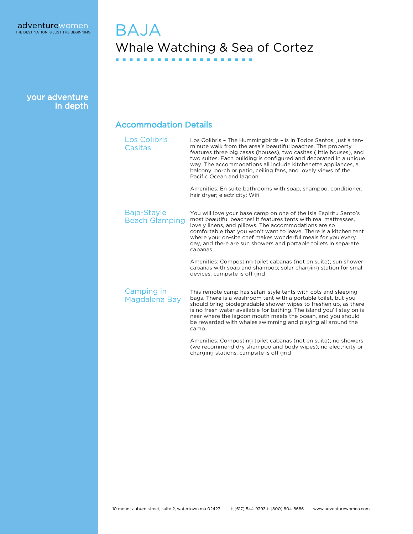### BAJA Whale Watching & Sea of Cortez ■ ■ ■ ■ ■ ■ ■ ■ ■ ■ ■ ■ ■ ■ ■ ■ ■ ■ ■ ■

your adventure in depth

### Accommodation Details

| <b>Los Colibris</b><br>Casitas       | Los Colibris - The Hummingbirds - is in Todos Santos, just a ten-<br>minute walk from the area's beautiful beaches. The property<br>features three big casas (houses), two casitas (little houses), and<br>two suites. Each building is configured and decorated in a unique<br>way. The accommodations all include kitchenette appliances, a<br>balcony, porch or patio, ceiling fans, and lovely views of the<br>Pacific Ocean and lagoon.<br>Amenities: En suite bathrooms with soap, shampoo, conditioner,<br>hair dryer; electricity; Wifi |
|--------------------------------------|-------------------------------------------------------------------------------------------------------------------------------------------------------------------------------------------------------------------------------------------------------------------------------------------------------------------------------------------------------------------------------------------------------------------------------------------------------------------------------------------------------------------------------------------------|
| Baja-Stayle<br><b>Beach Glamping</b> | You will love your base camp on one of the Isla Espiritu Santo's<br>most beautiful beaches! It features tents with real mattresses,<br>lovely linens, and pillows. The accommodations are so<br>comfortable that you won't want to leave. There is a kitchen tent<br>where your on-site chef makes wonderful meals for you every<br>day, and there are sun showers and portable toilets in separate<br>cabanas.                                                                                                                                 |
|                                      | Amenities: Composting toilet cabanas (not en suite); sun shower<br>cabanas with soap and shampoo; solar charging station for small<br>devices; campsite is off grid                                                                                                                                                                                                                                                                                                                                                                             |
| Camping in<br>Magdalena Bay          | This remote camp has safari-style tents with cots and sleeping<br>bags. There is a washroom tent with a portable toilet, but you<br>should bring biodegradable shower wipes to freshen up, as there<br>is no fresh water available for bathing. The island you'll stay on is<br>near where the lagoon mouth meets the ocean, and you should<br>be rewarded with whales swimming and playing all around the<br>camp.                                                                                                                             |
|                                      | Amenities: Composting toilet cabanas (not en suite); no showers<br>(we recommend dry shampoo and body wipes); no electricity or<br>charging stations; campsite is off grid                                                                                                                                                                                                                                                                                                                                                                      |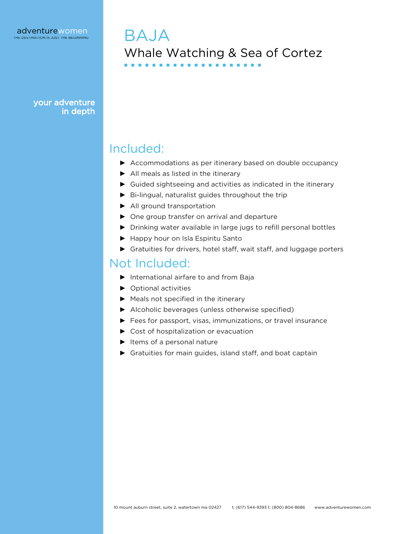BAJA Whale Watching & Sea of Cortez ■ ■ ■ ■ ■ ■ ■ ■ ■ ■ ■ ■ ■ ■ ■ ■ ■ ■ ■ ■

your adventure in depth

### Included:

- ▶ Accommodations as per itinerary based on double occupancy
- ► All meals as listed in the itinerary
- ► Guided sightseeing and activities as indicated in the itinerary
- ► Bi-lingual, naturalist guides throughout the trip
- ► All ground transportation
- ► One group transfer on arrival and departure
- ► Drinking water available in large jugs to refill personal bottles
- ► Happy hour on Isla Espiritu Santo
- ► Gratuities for drivers, hotel staff, wait staff, and luggage porters

### Not Included:

- ► International airfare to and from Baja
- ► Optional activities
- ► Meals not specified in the itinerary
- ► Alcoholic beverages (unless otherwise specified)
- ► Fees for passport, visas, immunizations, or travel insurance
- ► Cost of hospitalization or evacuation
- ► Items of a personal nature
- ▶ Gratuities for main guides, island staff, and boat captain